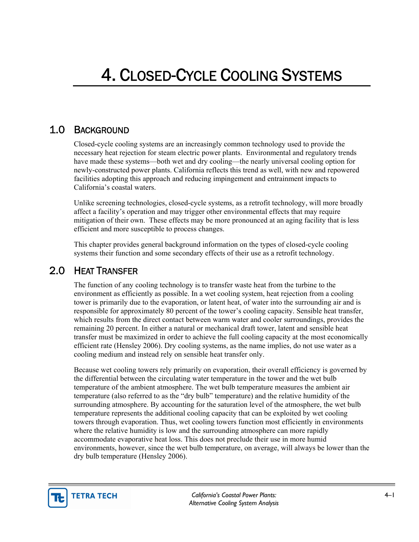# 1.0 BACKGROUND

Closed-cycle cooling systems are an increasingly common technology used to provide the necessary heat rejection for steam electric power plants. Environmental and regulatory trends have made these systems—both wet and dry cooling—the nearly universal cooling option for newly-constructed power plants. California reflects this trend as well, with new and repowered facilities adopting this approach and reducing impingement and entrainment impacts to California's coastal waters.

Unlike screening technologies, closed-cycle systems, as a retrofit technology, will more broadly affect a facility's operation and may trigger other environmental effects that may require mitigation of their own. These effects may be more pronounced at an aging facility that is less efficient and more susceptible to process changes.

This chapter provides general background information on the types of closed-cycle cooling systems their function and some secondary effects of their use as a retrofit technology.

## 2.0 HEAT TRANSFER

The function of any cooling technology is to transfer waste heat from the turbine to the environment as efficiently as possible. In a wet cooling system, heat rejection from a cooling tower is primarily due to the evaporation, or latent heat, of water into the surrounding air and is responsible for approximately 80 percent of the tower's cooling capacity. Sensible heat transfer, which results from the direct contact between warm water and cooler surroundings, provides the remaining 20 percent. In either a natural or mechanical draft tower, latent and sensible heat transfer must be maximized in order to achieve the full cooling capacity at the most economically efficient rate (Hensley 2006). Dry cooling systems, as the name implies, do not use water as a cooling medium and instead rely on sensible heat transfer only.

Because wet cooling towers rely primarily on evaporation, their overall efficiency is governed by the differential between the circulating water temperature in the tower and the wet bulb temperature of the ambient atmosphere. The wet bulb temperature measures the ambient air temperature (also referred to as the "dry bulb" temperature) and the relative humidity of the surrounding atmosphere. By accounting for the saturation level of the atmosphere, the wet bulb temperature represents the additional cooling capacity that can be exploited by wet cooling towers through evaporation. Thus, wet cooling towers function most efficiently in environments where the relative humidity is low and the surrounding atmosphere can more rapidly accommodate evaporative heat loss. This does not preclude their use in more humid environments, however, since the wet bulb temperature, on average, will always be lower than the dry bulb temperature (Hensley 2006).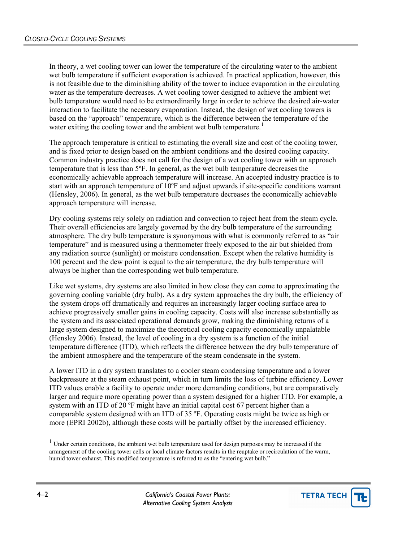In theory, a wet cooling tower can lower the temperature of the circulating water to the ambient wet bulb temperature if sufficient evaporation is achieved. In practical application, however, this is not feasible due to the diminishing ability of the tower to induce evaporation in the circulating water as the temperature decreases. A wet cooling tower designed to achieve the ambient wet bulb temperature would need to be extraordinarily large in order to achieve the desired air-water interaction to facilitate the necessary evaporation. Instead, the design of wet cooling towers is based on the "approach" temperature, which is the difference between the temperature of the water exiting the cooling tower and the ambient wet bulb temperature.<sup>[1](#page-1-0)</sup>

The approach temperature is critical to estimating the overall size and cost of the cooling tower, and is fixed prior to design based on the ambient conditions and the desired cooling capacity. Common industry practice does not call for the design of a wet cooling tower with an approach temperature that is less than 5ºF. In general, as the wet bulb temperature decreases the economically achievable approach temperature will increase. An accepted industry practice is to start with an approach temperature of 10ºF and adjust upwards if site-specific conditions warrant (Hensley, 2006). In general, as the wet bulb temperature decreases the economically achievable approach temperature will increase.

Dry cooling systems rely solely on radiation and convection to reject heat from the steam cycle. Their overall efficiencies are largely governed by the dry bulb temperature of the surrounding atmosphere. The dry bulb temperature is synonymous with what is commonly referred to as "air temperature" and is measured using a thermometer freely exposed to the air but shielded from any radiation source (sunlight) or moisture condensation. Except when the relative humidity is 100 percent and the dew point is equal to the air temperature, the dry bulb temperature will always be higher than the corresponding wet bulb temperature.

Like wet systems, dry systems are also limited in how close they can come to approximating the governing cooling variable (dry bulb). As a dry system approaches the dry bulb, the efficiency of the system drops off dramatically and requires an increasingly larger cooling surface area to achieve progressively smaller gains in cooling capacity. Costs will also increase substantially as the system and its associated operational demands grow, making the diminishing returns of a large system designed to maximize the theoretical cooling capacity economically unpalatable (Hensley 2006). Instead, the level of cooling in a dry system is a function of the initial temperature difference (ITD), which reflects the difference between the dry bulb temperature of the ambient atmosphere and the temperature of the steam condensate in the system.

A lower ITD in a dry system translates to a cooler steam condensing temperature and a lower backpressure at the steam exhaust point, which in turn limits the loss of turbine efficiency. Lower ITD values enable a facility to operate under more demanding conditions, but are comparatively larger and require more operating power than a system designed for a higher ITD. For example, a system with an ITD of 20 °F might have an initial capital cost 67 percent higher than a comparable system designed with an ITD of 35 ºF. Operating costs might be twice as high or more (EPRI 2002b), although these costs will be partially offset by the increased efficiency.



l

<span id="page-1-0"></span> $1$  Under certain conditions, the ambient wet bulb temperature used for design purposes may be increased if the arrangement of the cooling tower cells or local climate factors results in the reuptake or recirculation of the warm, humid tower exhaust. This modified temperature is referred to as the "entering wet bulb."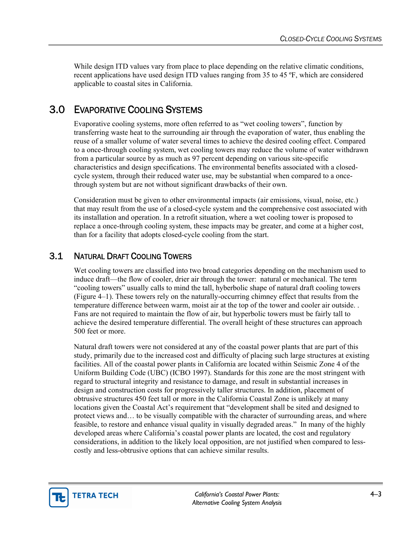While design ITD values vary from place to place depending on the relative climatic conditions, recent applications have used design ITD values ranging from 35 to 45 ºF, which are considered applicable to coastal sites in California.

# 3.0 EVAPORATIVE COOLING SYSTEMS

Evaporative cooling systems, more often referred to as "wet cooling towers", function by transferring waste heat to the surrounding air through the evaporation of water, thus enabling the reuse of a smaller volume of water several times to achieve the desired cooling effect. Compared to a once-through cooling system, wet cooling towers may reduce the volume of water withdrawn from a particular source by as much as 97 percent depending on various site-specific characteristics and design specifications. The environmental benefits associated with a closedcycle system, through their reduced water use, may be substantial when compared to a oncethrough system but are not without significant drawbacks of their own.

Consideration must be given to other environmental impacts (air emissions, visual, noise, etc.) that may result from the use of a closed-cycle system and the comprehensive cost associated with its installation and operation. In a retrofit situation, where a wet cooling tower is proposed to replace a once-through cooling system, these impacts may be greater, and come at a higher cost, than for a facility that adopts closed-cycle cooling from the start.

## 3.1 NATURAL DRAFT COOLING TOWERS

Wet cooling towers are classified into two broad categories depending on the mechanism used to induce draft—the flow of cooler, drier air through the tower: natural or mechanical. The term "cooling towers" usually calls to mind the tall, hyberbolic shape of natural draft cooling towers (Figure 4–1). These towers rely on the naturally-occurring chimney effect that results from the temperature difference between warm, moist air at the top of the tower and cooler air outside. . Fans are not required to maintain the flow of air, but hyperbolic towers must be fairly tall to achieve the desired temperature differential. The overall height of these structures can approach 500 feet or more.

Natural draft towers were not considered at any of the coastal power plants that are part of this study, primarily due to the increased cost and difficulty of placing such large structures at existing facilities. All of the coastal power plants in California are located within Seismic Zone 4 of the Uniform Building Code (UBC) (ICBO 1997). Standards for this zone are the most stringent with regard to structural integrity and resistance to damage, and result in substantial increases in design and construction costs for progressively taller structures. In addition, placement of obtrusive structures 450 feet tall or more in the California Coastal Zone is unlikely at many locations given the Coastal Act's requirement that "development shall be sited and designed to protect views and… to be visually compatible with the character of surrounding areas, and where feasible, to restore and enhance visual quality in visually degraded areas." In many of the highly developed areas where California's coastal power plants are located, the cost and regulatory considerations, in addition to the likely local opposition, are not justified when compared to lesscostly and less-obtrusive options that can achieve similar results.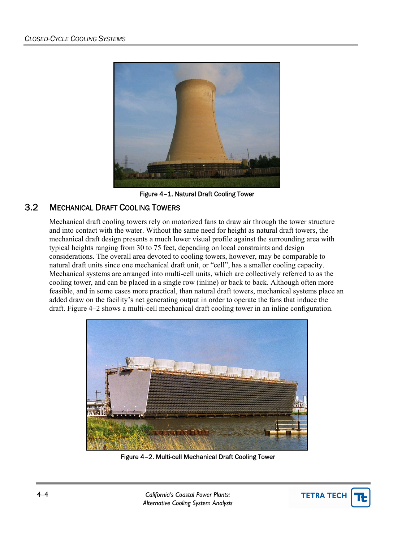

Figure 4–1. Natural Draft Cooling Tower

## 3.2 MECHANICAL DRAFT COOLING TOWERS

Mechanical draft cooling towers rely on motorized fans to draw air through the tower structure and into contact with the water. Without the same need for height as natural draft towers, the mechanical draft design presents a much lower visual profile against the surrounding area with typical heights ranging from 30 to 75 feet, depending on local constraints and design considerations. The overall area devoted to cooling towers, however, may be comparable to natural draft units since one mechanical draft unit, or "cell", has a smaller cooling capacity. Mechanical systems are arranged into multi-cell units, which are collectively referred to as the cooling tower, and can be placed in a single row (inline) or back to back. Although often more feasible, and in some cases more practical, than natural draft towers, mechanical systems place an added draw on the facility's net generating output in order to operate the fans that induce the draft. Figure 4–2 shows a multi-cell mechanical draft cooling tower in an inline configuration.



Figure 4–2. Multi-cell Mechanical Draft Cooling Tower

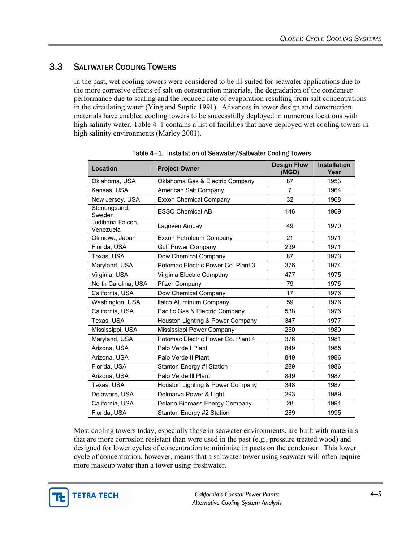## 3.3 SALTWATER COOLING TOWERS

In the past, wet cooling towers were considered to be ill-suited for seawater applications due to the more corrosive effects of salt on construction materials, the degradation of the condenser performance due to scaling and the reduced rate of evaporation resulting from salt concentrations in the circulating water (Ying and Suptic 1991). Advances in tower design and construction materials have enabled cooling towers to be successfully deployed in numerous locations with high salinity water. Table 4–1 contains a list of facilities that have deployed wet cooling towers in high salinity environments (Marley 2001).

| Location                      | <b>Project Owner</b>               | <b>Design Flow</b><br>(MGD) | <b>Installation</b><br>Year |
|-------------------------------|------------------------------------|-----------------------------|-----------------------------|
| Oklahoma, USA                 | Oklahoma Gas & Electric Company    | 87                          | 1953                        |
| Kansas, USA                   | American Salt Company              | $\overline{7}$              | 1964                        |
| New Jersey, USA               | <b>Exxon Chemical Company</b>      | 32                          | 1968                        |
| Stenungsund,<br>Sweden        | <b>ESSO Chemical AB</b>            | 146                         | 1969                        |
| Judibana Falcon,<br>Venezuela | Lagoven Amuay                      | 49                          | 1970                        |
| Okinawa, Japan                | Exxon Petroleum Company            | 21                          | 1971                        |
| Florida, USA                  | <b>Gulf Power Company</b>          | 239                         | 1971                        |
| Texas, USA                    | Dow Chemical Company               | 87                          | 1973                        |
| Maryland, USA                 | Potomac Electric Power Co. Plant 3 | 376                         | 1974                        |
| Virginia, USA                 | Virginia Electric Company          | 477                         | 1975                        |
| North Carolina, USA           | Pfizer Company                     | 79                          | 1975                        |
| California, USA               | Dow Chemical Company               | 17                          | 1976                        |
| Washington, USA               | Italco Aluminum Company            | 59                          | 1976                        |
| California, USA               | Pacific Gas & Electric Company     | 538                         | 1976                        |
| Texas, USA                    | Houston Lighting & Power Company   | 347                         | 1977                        |
| Mississippi, USA              | Mississippi Power Company          | 250                         | 1980                        |
| Maryland, USA                 | Potomac Electric Power Co. Plant 4 | 376                         | 1981                        |
| Arizona, USA                  | Palo Verde I Plant                 | 849                         | 1985                        |
| Arizona, USA                  | Palo Verde II Plant                | 849                         | 1986                        |
| Florida, USA                  | Stanton Energy #I Station          | 289                         | 1986                        |
| Arizona, USA                  | Palo Verde III Plant               | 849                         | 1987                        |
| Texas, USA                    | Houston Lighting & Power Company   | 348                         | 1987                        |
| Delaware, USA                 | Delmarva Power & Light             | 293                         | 1989                        |
| California, USA               | Delano Biomass Energy Company      | 28                          | 1991                        |
| Florida, USA                  | Stanton Energy #2 Station          | 289                         | 1995                        |

Table 4–1. Installation of Seawater/Saltwater Cooling Towers

Most cooling towers today, especially those in seawater environments, are built with materials that are more corrosion resistant than were used in the past (e.g., pressure treated wood) and designed for lower cycles of concentration to minimize impacts on the condenser. This lower cycle of concentration, however, means that a saltwater tower using seawater will often require more makeup water than a tower using freshwater.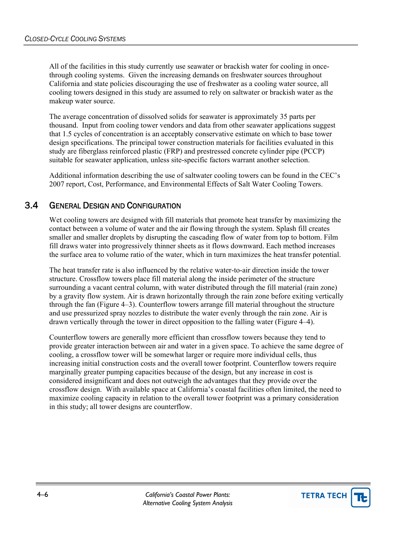All of the facilities in this study currently use seawater or brackish water for cooling in oncethrough cooling systems. Given the increasing demands on freshwater sources throughout California and state policies discouraging the use of freshwater as a cooling water source, all cooling towers designed in this study are assumed to rely on saltwater or brackish water as the makeup water source.

The average concentration of dissolved solids for seawater is approximately 35 parts per thousand. Input from cooling tower vendors and data from other seawater applications suggest that 1.5 cycles of concentration is an acceptably conservative estimate on which to base tower design specifications. The principal tower construction materials for facilities evaluated in this study are fiberglass reinforced plastic (FRP) and prestressed concrete cylinder pipe (PCCP) suitable for seawater application, unless site-specific factors warrant another selection.

Additional information describing the use of saltwater cooling towers can be found in the CEC's 2007 report, Cost, Performance, and Environmental Effects of Salt Water Cooling Towers.

#### 3.4 GENERAL DESIGN AND CONFIGURATION

Wet cooling towers are designed with fill materials that promote heat transfer by maximizing the contact between a volume of water and the air flowing through the system. Splash fill creates smaller and smaller droplets by disrupting the cascading flow of water from top to bottom. Film fill draws water into progressively thinner sheets as it flows downward. Each method increases the surface area to volume ratio of the water, which in turn maximizes the heat transfer potential.

The heat transfer rate is also influenced by the relative water-to-air direction inside the tower structure. Crossflow towers place fill material along the inside perimeter of the structure surrounding a vacant central column, with water distributed through the fill material (rain zone) by a gravity flow system. Air is drawn horizontally through the rain zone before exiting vertically through the fan (Figure 4–3). Counterflow towers arrange fill material throughout the structure and use pressurized spray nozzles to distribute the water evenly through the rain zone. Air is drawn vertically through the tower in direct opposition to the falling water (Figure 4–4).

Counterflow towers are generally more efficient than crossflow towers because they tend to provide greater interaction between air and water in a given space. To achieve the same degree of cooling, a crossflow tower will be somewhat larger or require more individual cells, thus increasing initial construction costs and the overall tower footprint. Counterflow towers require marginally greater pumping capacities because of the design, but any increase in cost is considered insignificant and does not outweigh the advantages that they provide over the crossflow design. With available space at California's coastal facilities often limited, the need to maximize cooling capacity in relation to the overall tower footprint was a primary consideration in this study; all tower designs are counterflow.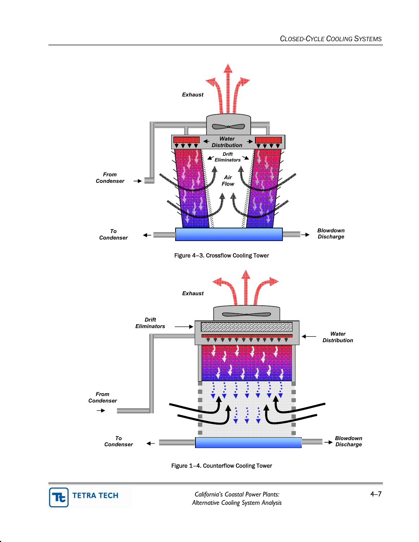

Figure 1–4. Counterflow Cooling Tower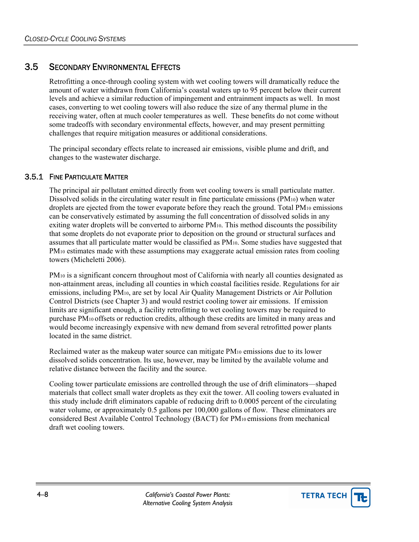## 3.5 SECONDARY ENVIRONMENTAL EFFECTS

Retrofitting a once-through cooling system with wet cooling towers will dramatically reduce the amount of water withdrawn from California's coastal waters up to 95 percent below their current levels and achieve a similar reduction of impingement and entrainment impacts as well. In most cases, converting to wet cooling towers will also reduce the size of any thermal plume in the receiving water, often at much cooler temperatures as well. These benefits do not come without some tradeoffs with secondary environmental effects, however, and may present permitting challenges that require mitigation measures or additional considerations.

The principal secondary effects relate to increased air emissions, visible plume and drift, and changes to the wastewater discharge.

#### 3.5.1 FINE PARTICULATE MATTER

The principal air pollutant emitted directly from wet cooling towers is small particulate matter. Dissolved solids in the circulating water result in fine particulate emissions (PM10) when water droplets are ejected from the tower evaporate before they reach the ground. Total PM<sub>10</sub> emissions can be conservatively estimated by assuming the full concentration of dissolved solids in any exiting water droplets will be converted to airborne PM10. This method discounts the possibility that some droplets do not evaporate prior to deposition on the ground or structural surfaces and assumes that all particulate matter would be classified as PM10. Some studies have suggested that PM10 estimates made with these assumptions may exaggerate actual emission rates from cooling towers (Micheletti 2006).

PM10 is a significant concern throughout most of California with nearly all counties designated as non-attainment areas, including all counties in which coastal facilities reside. Regulations for air emissions, including PM10, are set by local Air Quality Management Districts or Air Pollution Control Districts (see Chapter 3) and would restrict cooling tower air emissions. If emission limits are significant enough, a facility retrofitting to wet cooling towers may be required to purchase PM10 offsets or reduction credits, although these credits are limited in many areas and would become increasingly expensive with new demand from several retrofitted power plants located in the same district.

Reclaimed water as the makeup water source can mitigate PM10 emissions due to its lower dissolved solids concentration. Its use, however, may be limited by the available volume and relative distance between the facility and the source.

Cooling tower particulate emissions are controlled through the use of drift eliminators—shaped materials that collect small water droplets as they exit the tower. All cooling towers evaluated in this study include drift eliminators capable of reducing drift to 0.0005 percent of the circulating water volume, or approximately 0.5 gallons per 100,000 gallons of flow. These eliminators are considered Best Available Control Technology (BACT) for PM10 emissions from mechanical draft wet cooling towers.

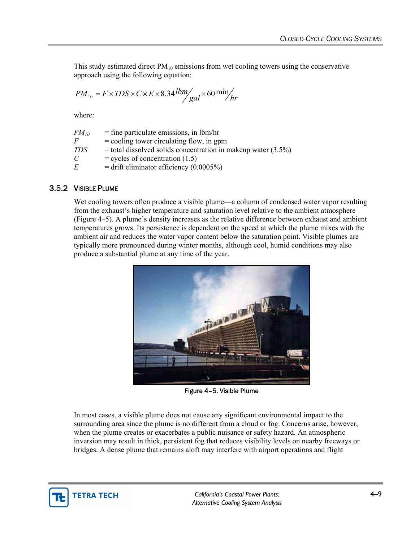This study estimated direct  $PM_{10}$  emissions from wet cooling towers using the conservative approach using the following equation:

$$
PM_{10} = F \times TDS \times C \times E \times 8.34 \, lbm / gal \times 60 \, min / hr
$$

where:

| $PM_{10}$      | $=$ fine particulate emissions, in lbm/hr                       |
|----------------|-----------------------------------------------------------------|
| $\overline{F}$ | $=$ cooling tower circulating flow, in gpm                      |
| TDS            | $=$ total dissolved solids concentration in makeup water (3.5%) |
| $\mathcal{C}$  | $=$ cycles of concentration (1.5)                               |
| E              | $=$ drift eliminator efficiency (0.0005%)                       |

#### 3.5.2 VISIBLE PLUME

Wet cooling towers often produce a visible plume—a column of condensed water vapor resulting from the exhaust's higher temperature and saturation level relative to the ambient atmosphere (Figure 4–5). A plume's density increases as the relative difference between exhaust and ambient temperatures grows. Its persistence is dependent on the speed at which the plume mixes with the ambient air and reduces the water vapor content below the saturation point. Visible plumes are typically more pronounced during winter months, although cool, humid conditions may also produce a substantial plume at any time of the year.



Figure 4–5. Visible Plume

In most cases, a visible plume does not cause any significant environmental impact to the surrounding area since the plume is no different from a cloud or fog. Concerns arise, however, when the plume creates or exacerbates a public nuisance or safety hazard. An atmospheric inversion may result in thick, persistent fog that reduces visibility levels on nearby freeways or bridges. A dense plume that remains aloft may interfere with airport operations and flight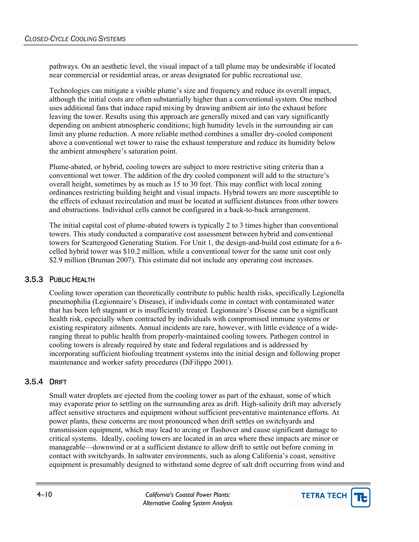pathways. On an aesthetic level, the visual impact of a tall plume may be undesirable if located near commercial or residential areas, or areas designated for public recreational use.

Technologies can mitigate a visible plume's size and frequency and reduce its overall impact, although the initial costs are often substantially higher than a conventional system. One method uses additional fans that induce rapid mixing by drawing ambient air into the exhaust before leaving the tower. Results using this approach are generally mixed and can vary significantly depending on ambient atmospheric conditions; high humidity levels in the surrounding air can limit any plume reduction. A more reliable method combines a smaller dry-cooled component above a conventional wet tower to raise the exhaust temperature and reduce its humidity below the ambient atmosphere's saturation point.

Plume-abated, or hybrid, cooling towers are subject to more restrictive siting criteria than a conventional wet tower. The addition of the dry cooled component will add to the structure's overall height, sometimes by as much as 15 to 30 feet. This may conflict with local zoning ordinances restricting building height and visual impacts. Hybrid towers are more susceptible to the effects of exhaust recirculation and must be located at sufficient distances from other towers and obstructions. Individual cells cannot be configured in a back-to-back arrangement.

The initial capital cost of plume-abated towers is typically 2 to 3 times higher than conventional towers. This study conducted a comparative cost assessment between hybrid and conventional towers for Scattergood Generating Station. For Unit 1, the design-and-build cost estimate for a 6 celled hybrid tower was \$10.2 million, while a conventional tower for the same unit cost only \$2.9 million (Bruman 2007). This estimate did not include any operating cost increases.

#### 3.5.3 PUBLIC HEALTH

Cooling tower operation can theoretically contribute to public health risks, specifically Legionella pneumophilia (Legionnaire's Disease), if individuals come in contact with contaminated water that has been left stagnant or is insufficiently treated. Legionnaire's Disease can be a significant health risk, especially when contracted by individuals with compromised immune systems or existing respiratory ailments. Annual incidents are rare, however, with little evidence of a wideranging threat to public health from properly-maintained cooling towers. Pathogen control in cooling towers is already required by state and federal regulations and is addressed by incorporating sufficient biofouling treatment systems into the initial design and following proper maintenance and worker safety procedures (DiFilippo 2001).

#### 3.5.4 DRIFT

Small water droplets are ejected from the cooling tower as part of the exhaust, some of which may evaporate prior to settling on the surrounding area as drift. High-salinity drift may adversely affect sensitive structures and equipment without sufficient preventative maintenance efforts. At power plants, these concerns are most pronounced when drift settles on switchyards and transmission equipment, which may lead to arcing or flashover and cause significant damage to critical systems. Ideally, cooling towers are located in an area where these impacts are minor or manageable—downwind or at a sufficient distance to allow drift to settle out before coming in contact with switchyards. In saltwater environments, such as along California's coast, sensitive equipment is presumably designed to withstand some degree of salt drift occurring from wind and

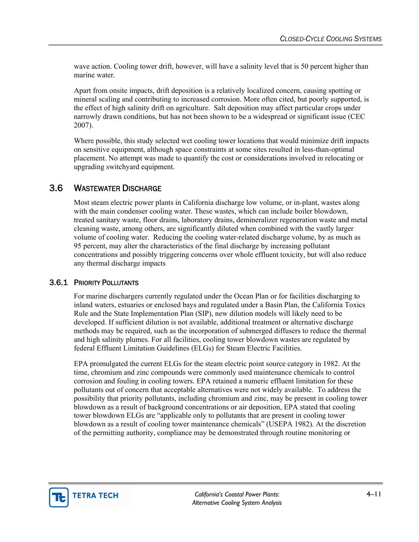wave action. Cooling tower drift, however, will have a salinity level that is 50 percent higher than marine water.

Apart from onsite impacts, drift deposition is a relatively localized concern, causing spotting or mineral scaling and contributing to increased corrosion. More often cited, but poorly supported, is the effect of high salinity drift on agriculture. Salt deposition may affect particular crops under narrowly drawn conditions, but has not been shown to be a widespread or significant issue (CEC 2007).

Where possible, this study selected wet cooling tower locations that would minimize drift impacts on sensitive equipment, although space constraints at some sites resulted in less-than-optimal placement. No attempt was made to quantify the cost or considerations involved in relocating or upgrading switchyard equipment.

### 3.6 WASTEWATER DISCHARGE

Most steam electric power plants in California discharge low volume, or in-plant, wastes along with the main condenser cooling water. These wastes, which can include boiler blowdown, treated sanitary waste, floor drains, laboratory drains, demineralizer regeneration waste and metal cleaning waste, among others, are significantly diluted when combined with the vastly larger volume of cooling water. Reducing the cooling water-related discharge volume, by as much as 95 percent, may alter the characteristics of the final discharge by increasing pollutant concentrations and possibly triggering concerns over whole effluent toxicity, but will also reduce any thermal discharge impacts

#### 3.6.1 PRIORITY POLLUTANTS

For marine dischargers currently regulated under the Ocean Plan or for facilities discharging to inland waters, estuaries or enclosed bays and regulated under a Basin Plan, the California Toxics Rule and the State Implementation Plan (SIP), new dilution models will likely need to be developed. If sufficient dilution is not available, additional treatment or alternative discharge methods may be required, such as the incorporation of submerged diffusers to reduce the thermal and high salinity plumes. For all facilities, cooling tower blowdown wastes are regulated by federal Effluent Limitation Guidelines (ELGs) for Steam Electric Facilities.

EPA promulgated the current ELGs for the steam electric point source category in 1982. At the time, chromium and zinc compounds were commonly used maintenance chemicals to control corrosion and fouling in cooling towers. EPA retained a numeric effluent limitation for these pollutants out of concern that acceptable alternatives were not widely available. To address the possibility that priority pollutants, including chromium and zinc, may be present in cooling tower blowdown as a result of background concentrations or air deposition, EPA stated that cooling tower blowdown ELGs are "applicable only to pollutants that are present in cooling tower blowdown as a result of cooling tower maintenance chemicals" (USEPA 1982). At the discretion of the permitting authority, compliance may be demonstrated through routine monitoring or

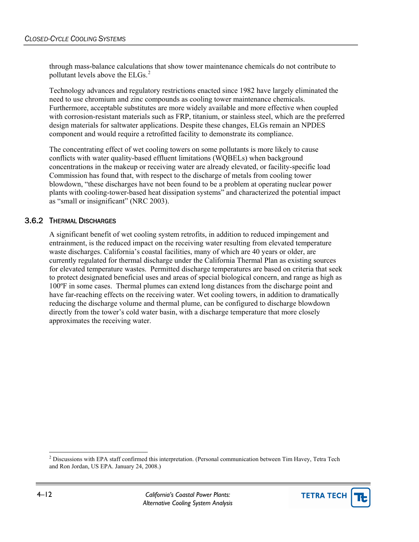through mass-balance calculations that show tower maintenance chemicals do not contribute to pollutant levels above the ELGs.<sup>[2](#page-11-0)</sup>

Technology advances and regulatory restrictions enacted since 1982 have largely eliminated the need to use chromium and zinc compounds as cooling tower maintenance chemicals. Furthermore, acceptable substitutes are more widely available and more effective when coupled with corrosion-resistant materials such as FRP, titanium, or stainless steel, which are the preferred design materials for saltwater applications. Despite these changes, ELGs remain an NPDES component and would require a retrofitted facility to demonstrate its compliance.

The concentrating effect of wet cooling towers on some pollutants is more likely to cause conflicts with water quality-based effluent limitations (WQBELs) when background concentrations in the makeup or receiving water are already elevated, or facility-specific load Commission has found that, with respect to the discharge of metals from cooling tower blowdown, "these discharges have not been found to be a problem at operating nuclear power plants with cooling-tower-based heat dissipation systems" and characterized the potential impact as "small or insignificant" (NRC 2003).

#### 3.6.2 THERMAL DISCHARGES

A significant benefit of wet cooling system retrofits, in addition to reduced impingement and entrainment, is the reduced impact on the receiving water resulting from elevated temperature waste discharges. California's coastal facilities, many of which are 40 years or older, are currently regulated for thermal discharge under the California Thermal Plan as existing sources for elevated temperature wastes. Permitted discharge temperatures are based on criteria that seek to protect designated beneficial uses and areas of special biological concern, and range as high as 100ºF in some cases. Thermal plumes can extend long distances from the discharge point and have far-reaching effects on the receiving water. Wet cooling towers, in addition to dramatically reducing the discharge volume and thermal plume, can be configured to discharge blowdown directly from the tower's cold water basin, with a discharge temperature that more closely approximates the receiving water.

<span id="page-11-0"></span><sup>&</sup>lt;sup>2</sup> Discussions with EPA staff confirmed this interpretation. (Personal communication between Tim Havey, Tetra Tech and Ron Jordan, US EPA. January 24, 2008.)



 $\overline{a}$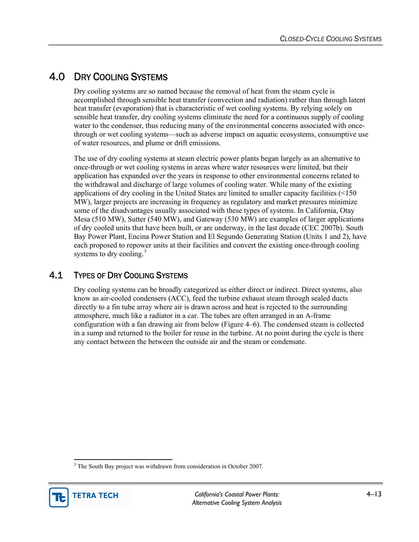# 4.0 DRY COOLING SYSTEMS

Dry cooling systems are so named because the removal of heat from the steam cycle is accomplished through sensible heat transfer (convection and radiation) rather than through latent heat transfer (evaporation) that is characteristic of wet cooling systems. By relying solely on sensible heat transfer, dry cooling systems eliminate the need for a continuous supply of cooling water to the condenser, thus reducing many of the environmental concerns associated with oncethrough or wet cooling systems—such as adverse impact on aquatic ecosystems, consumptive use of water resources, and plume or drift emissions.

The use of dry cooling systems at steam electric power plants began largely as an alternative to once-through or wet cooling systems in areas where water resources were limited, but their application has expanded over the years in response to other environmental concerns related to the withdrawal and discharge of large volumes of cooling water. While many of the existing applications of dry cooling in the United States are limited to smaller capacity facilities (<150 MW), larger projects are increasing in frequency as regulatory and market pressures minimize some of the disadvantages usually associated with these types of systems. In California, Otay Mesa (510 MW), Sutter (540 MW), and Gateway (530 MW) are examples of larger applications of dry cooled units that have been built, or are underway, in the last decade (CEC 2007b). South Bay Power Plant, Encina Power Station and El Segundo Generating Station (Units 1 and 2), have each proposed to repower units at their facilities and convert the existing once-through cooling systems to dry cooling. $3$ 

## 4.1 TYPES OF DRY COOLING SYSTEMS

Dry cooling systems can be broadly categorized as either direct or indirect. Direct systems, also know as air-cooled condensers (ACC), feed the turbine exhaust steam through sealed ducts directly to a fin tube array where air is drawn across and heat is rejected to the surrounding atmosphere, much like a radiator in a car. The tubes are often arranged in an A-frame configuration with a fan drawing air from below (Figure 4–6). The condensed steam is collected in a sump and returned to the boiler for reuse in the turbine. At no point during the cycle is there any contact between the between the outside air and the steam or condensate.

<span id="page-12-0"></span><sup>&</sup>lt;sup>3</sup> The South Bay project was withdrawn from consideration in October 2007.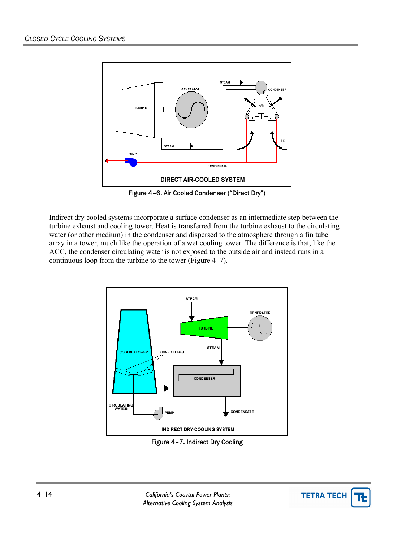

Figure 4–6. Air Cooled Condenser ("Direct Dry")

Indirect dry cooled systems incorporate a surface condenser as an intermediate step between the turbine exhaust and cooling tower. Heat is transferred from the turbine exhaust to the circulating water (or other medium) in the condenser and dispersed to the atmosphere through a fin tube array in a tower, much like the operation of a wet cooling tower. The difference is that, like the ACC, the condenser circulating water is not exposed to the outside air and instead runs in a continuous loop from the turbine to the tower (Figure 4–7).



Figure 4–7. Indirect Dry Cooling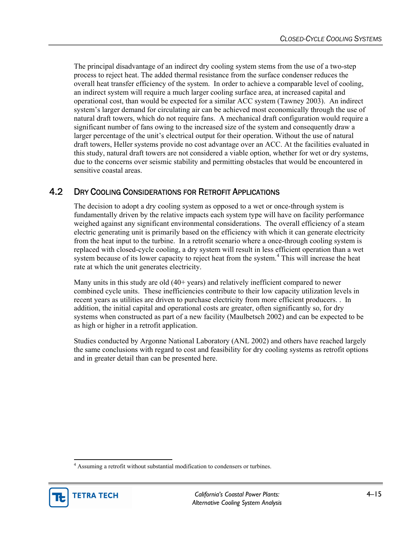The principal disadvantage of an indirect dry cooling system stems from the use of a two-step process to reject heat. The added thermal resistance from the surface condenser reduces the overall heat transfer efficiency of the system. In order to achieve a comparable level of cooling, an indirect system will require a much larger cooling surface area, at increased capital and operational cost, than would be expected for a similar ACC system (Tawney 2003). An indirect system's larger demand for circulating air can be achieved most economically through the use of natural draft towers, which do not require fans. A mechanical draft configuration would require a significant number of fans owing to the increased size of the system and consequently draw a larger percentage of the unit's electrical output for their operation. Without the use of natural draft towers, Heller systems provide no cost advantage over an ACC. At the facilities evaluated in this study, natural draft towers are not considered a viable option, whether for wet or dry systems, due to the concerns over seismic stability and permitting obstacles that would be encountered in sensitive coastal areas.

## 4.2 DRY COOLING CONSIDERATIONS FOR RETROFIT APPLICATIONS

The decision to adopt a dry cooling system as opposed to a wet or once-through system is fundamentally driven by the relative impacts each system type will have on facility performance weighed against any significant environmental considerations. The overall efficiency of a steam electric generating unit is primarily based on the efficiency with which it can generate electricity from the heat input to the turbine. In a retrofit scenario where a once-through cooling system is replaced with closed-cycle cooling, a dry system will result in less efficient operation than a wet system because of its lower capacity to reject heat from the system.<sup>[4](#page-14-0)</sup> This will increase the heat rate at which the unit generates electricity.

Many units in this study are old (40+ years) and relatively inefficient compared to newer combined cycle units. These inefficiencies contribute to their low capacity utilization levels in recent years as utilities are driven to purchase electricity from more efficient producers. . In addition, the initial capital and operational costs are greater, often significantly so, for dry systems when constructed as part of a new facility (Maulbetsch 2002) and can be expected to be as high or higher in a retrofit application.

Studies conducted by Argonne National Laboratory (ANL 2002) and others have reached largely the same conclusions with regard to cost and feasibility for dry cooling systems as retrofit options and in greater detail than can be presented here.

<span id="page-14-0"></span><sup>&</sup>lt;sup>4</sup> Assuming a retrofit without substantial modification to condensers or turbines.



l